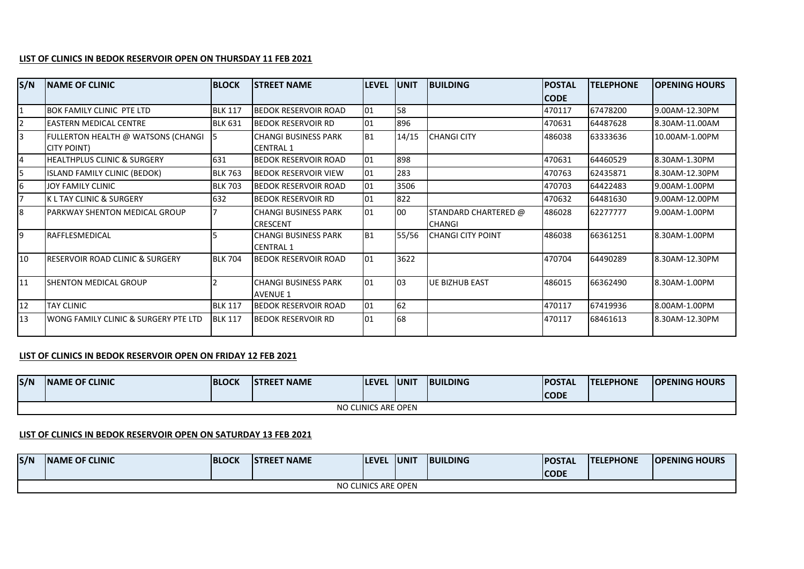## **LIST OF CLINICS IN BEDOK RESERVOIR OPEN ON THURSDAY 11 FEB 2021**

| S/N | <b>INAME OF CLINIC</b>                                   | <b>BLOCK</b>   | <b>ISTREET NAME</b>                             | <b>LEVEL</b> | <b>UNIT</b> | <b>BUILDING</b>                       | <b>POSTAL</b> | <b>TELEPHONE</b> | <b>OPENING HOURS</b> |
|-----|----------------------------------------------------------|----------------|-------------------------------------------------|--------------|-------------|---------------------------------------|---------------|------------------|----------------------|
|     |                                                          |                |                                                 |              |             |                                       | <b>CODE</b>   |                  |                      |
|     | <b>BOK FAMILY CLINIC PTE LTD</b>                         | <b>BLK 117</b> | <b>BEDOK RESERVOIR ROAD</b>                     | 01           | 58          |                                       | 470117        | 67478200         | 9.00AM-12.30PM       |
|     | <b>EASTERN MEDICAL CENTRE</b>                            | <b>BLK 631</b> | <b>BEDOK RESERVOIR RD</b>                       | 01           | 896         |                                       | 470631        | 64487628         | 8.30AM-11.00AM       |
| 3   | FULLERTON HEALTH @ WATSONS (CHANGI<br><b>CITY POINT)</b> |                | <b>CHANGI BUSINESS PARK</b><br><b>CENTRAL 1</b> | <b>B1</b>    | 14/15       | <b>CHANGI CITY</b>                    | 486038        | 63333636         | 10.00AM-1.00PM       |
| 4   | <b>HEALTHPLUS CLINIC &amp; SURGERY</b>                   | 631            | <b>BEDOK RESERVOIR ROAD</b>                     | 01           | 898         |                                       | 470631        | 64460529         | 8.30AM-1.30PM        |
| 5   | ISLAND FAMILY CLINIC (BEDOK)                             | <b>BLK 763</b> | <b>BEDOK RESERVOIR VIEW</b>                     | 01           | 283         |                                       | 470763        | 62435871         | 8.30AM-12.30PM       |
| 6   | JOY FAMILY CLINIC                                        | <b>BLK 703</b> | <b>BEDOK RESERVOIR ROAD</b>                     | 01           | 3506        |                                       | 470703        | 64422483         | 9.00AM-1.00PM        |
|     | <b>KL TAY CLINIC &amp; SURGERY</b>                       | 632            | <b>BEDOK RESERVOIR RD</b>                       | 01           | 822         |                                       | 470632        | 64481630         | 9.00AM-12.00PM       |
| 8   | PARKWAY SHENTON MEDICAL GROUP                            |                | <b>CHANGI BUSINESS PARK</b><br><b>CRESCENT</b>  | 01           | 00          | STANDARD CHARTERED @<br><b>CHANGI</b> | 486028        | 62277777         | 9.00AM-1.00PM        |
| Ι9  | <b>RAFFLESMEDICAL</b>                                    |                | <b>CHANGI BUSINESS PARK</b><br><b>CENTRAL 1</b> | <b>B1</b>    | 55/56       | <b>CHANGI CITY POINT</b>              | 486038        | 66361251         | 8.30AM-1.00PM        |
| 10  | <b>IRESERVOIR ROAD CLINIC &amp; SURGERY</b>              | <b>BLK 704</b> | <b>IBEDOK RESERVOIR ROAD</b>                    | 01           | 3622        |                                       | 470704        | 64490289         | 8.30AM-12.30PM       |
| 11  | <b>SHENTON MEDICAL GROUP</b>                             |                | <b>CHANGI BUSINESS PARK</b><br><b>AVENUE 1</b>  | 01           | 03          | UE BIZHUB EAST                        | 486015        | 66362490         | 8.30AM-1.00PM        |
| 12  | <b>TAY CLINIC</b>                                        | <b>BLK 117</b> | <b>BEDOK RESERVOIR ROAD</b>                     | 01           | 62          |                                       | 470117        | 67419936         | 8.00AM-1.00PM        |
| 13  | WONG FAMILY CLINIC & SURGERY PTE LTD                     | <b>BLK 117</b> | <b>BEDOK RESERVOIR RD</b>                       | 01           | 68          |                                       | 470117        | 68461613         | 8.30AM-12.30PM       |

## **LIST OF CLINICS IN BEDOK RESERVOIR OPEN ON FRIDAY 12 FEB 2021**

| S/N | <b>INAME OF CLINIC</b> | <b>BLOCK</b> | <b>ISTREET NAME</b> | <b>ILEVEL</b> | <b>IUNIT</b> | <b>IBUILDING</b> | <b>IPOSTAL</b><br><b>ICODE</b> | <b>TELEPHONE</b> | <b>IOPENING HOURS</b> |  |  |
|-----|------------------------|--------------|---------------------|---------------|--------------|------------------|--------------------------------|------------------|-----------------------|--|--|
|     | NO CLINICS ARE OPEN    |              |                     |               |              |                  |                                |                  |                       |  |  |

## **LIST OF CLINICS IN BEDOK RESERVOIR OPEN ON SATURDAY 13 FEB 2021**

| S/N                 | <b>INAME OF CLINIC</b> | <b>IBLOCK</b> | <b>ISTREET NAME</b> | <b>ILEVEL</b> | <b>IUNIT</b> | <b>IBUILDING</b> | <b>IPOSTAL</b> | <b>ITELEPHONE</b> | <b>IOPENING HOURS</b> |  |
|---------------------|------------------------|---------------|---------------------|---------------|--------------|------------------|----------------|-------------------|-----------------------|--|
|                     |                        |               |                     |               |              |                  | <b>CODE</b>    |                   |                       |  |
| NO CLINICS ARE OPEN |                        |               |                     |               |              |                  |                |                   |                       |  |